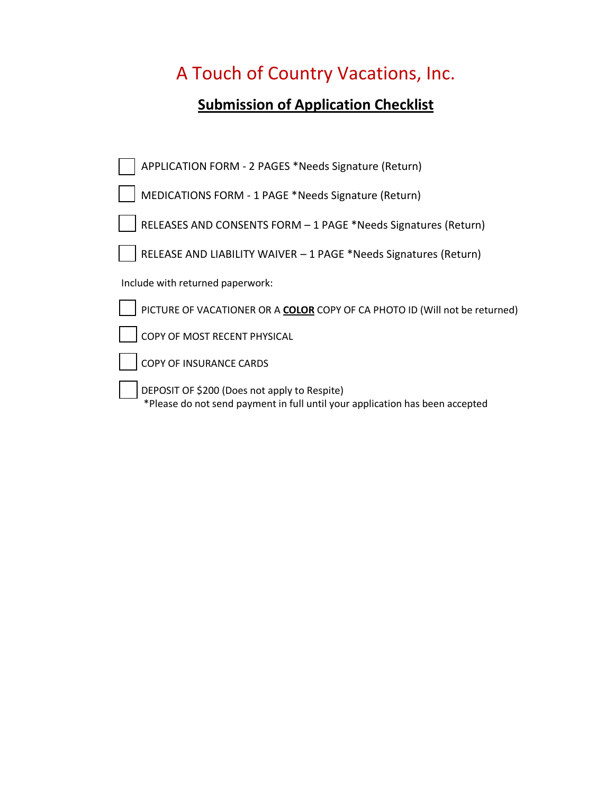## **Submission of Application Checklist**

| APPLICATION FORM - 2 PAGES *Needs Signature (Return)                                                                         |
|------------------------------------------------------------------------------------------------------------------------------|
| MEDICATIONS FORM - 1 PAGE *Needs Signature (Return)                                                                          |
| RELEASES AND CONSENTS FORM - 1 PAGE *Needs Signatures (Return)                                                               |
| RELEASE AND LIABILITY WAIVER - 1 PAGE *Needs Signatures (Return)                                                             |
| Include with returned paperwork:                                                                                             |
| PICTURE OF VACATIONER OR A COLOR COPY OF CA PHOTO ID (Will not be returned)                                                  |
| COPY OF MOST RECENT PHYSICAL                                                                                                 |
| COPY OF INSURANCE CARDS                                                                                                      |
| DEPOSIT OF \$200 (Does not apply to Respite)<br>*Please do not send payment in full until your application has been accepted |
|                                                                                                                              |
|                                                                                                                              |
|                                                                                                                              |
|                                                                                                                              |
|                                                                                                                              |
|                                                                                                                              |
|                                                                                                                              |
|                                                                                                                              |
|                                                                                                                              |
|                                                                                                                              |
|                                                                                                                              |
|                                                                                                                              |
|                                                                                                                              |
|                                                                                                                              |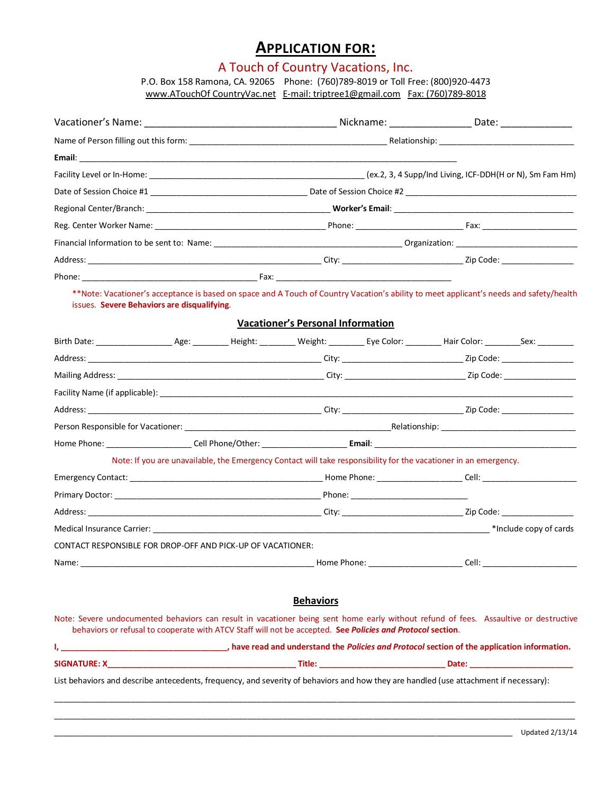### **APPLICATION FOR:**

## A Touch of Country Vacations, Inc.

P.O. Box 158 Ramona, CA. 92065 Phone: (760)789-8019 or Toll Free: (800)920-4473 www.ATouchOf CountryVac.net E-mail: triptree1@gmail.com Fax: (760)789-8018

| issues. Severe Behaviors are disqualifying. |                                                             | <b>Vacationer's Personal Information</b>                                                                                              | **Note: Vacationer's acceptance is based on space and A Touch of Country Vacation's ability to meet applicant's needs and safety/health |
|---------------------------------------------|-------------------------------------------------------------|---------------------------------------------------------------------------------------------------------------------------------------|-----------------------------------------------------------------------------------------------------------------------------------------|
|                                             |                                                             |                                                                                                                                       |                                                                                                                                         |
|                                             |                                                             |                                                                                                                                       |                                                                                                                                         |
|                                             |                                                             |                                                                                                                                       |                                                                                                                                         |
|                                             |                                                             |                                                                                                                                       |                                                                                                                                         |
|                                             |                                                             |                                                                                                                                       |                                                                                                                                         |
|                                             |                                                             |                                                                                                                                       |                                                                                                                                         |
|                                             |                                                             |                                                                                                                                       |                                                                                                                                         |
|                                             |                                                             | Note: If you are unavailable, the Emergency Contact will take responsibility for the vacationer in an emergency.                      |                                                                                                                                         |
|                                             |                                                             |                                                                                                                                       |                                                                                                                                         |
|                                             |                                                             |                                                                                                                                       |                                                                                                                                         |
|                                             |                                                             |                                                                                                                                       |                                                                                                                                         |
|                                             |                                                             |                                                                                                                                       |                                                                                                                                         |
|                                             | CONTACT RESPONSIBLE FOR DROP-OFF AND PICK-UP OF VACATIONER: |                                                                                                                                       |                                                                                                                                         |
|                                             |                                                             |                                                                                                                                       |                                                                                                                                         |
|                                             |                                                             | <b>Behaviors</b>                                                                                                                      |                                                                                                                                         |
|                                             |                                                             | behaviors or refusal to cooperate with ATCV Staff will not be accepted. See Policies and Protocol section.                            | Note: Severe undocumented behaviors can result in vacationer being sent home early without refund of fees. Assaultive or destructive    |
|                                             |                                                             |                                                                                                                                       | have read and understand the <i>Policies and Protocol</i> section of the application information.                                       |
|                                             |                                                             |                                                                                                                                       |                                                                                                                                         |
|                                             |                                                             | List behaviors and describe antecedents, frequency, and severity of behaviors and how they are handled (use attachment if necessary): |                                                                                                                                         |
|                                             |                                                             |                                                                                                                                       |                                                                                                                                         |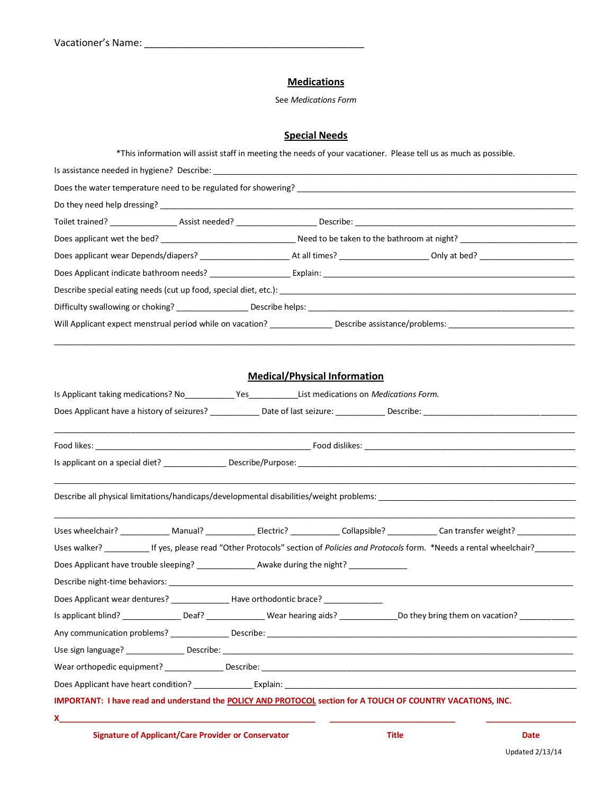### **Medications**

See *Medications Form*

### **Special Needs**

\*This information will assist staff in meeting the needs of your vacationer. Please tell us as much as possible.

| Is Applicant taking medications? No Yes Ves List medications on Medications Form.                            |  | <b>Medical/Physical Information</b> |  |                                                                                                                                                 |  |
|--------------------------------------------------------------------------------------------------------------|--|-------------------------------------|--|-------------------------------------------------------------------------------------------------------------------------------------------------|--|
|                                                                                                              |  |                                     |  |                                                                                                                                                 |  |
|                                                                                                              |  |                                     |  |                                                                                                                                                 |  |
|                                                                                                              |  |                                     |  |                                                                                                                                                 |  |
|                                                                                                              |  |                                     |  | Uses wheelchair? _____________ Manual? ________________ Electric? _____________ Collapsible? _____________ Can transfer weight? _______________ |  |
|                                                                                                              |  |                                     |  | Uses walker? _____________ If yes, please read "Other Protocols" section of Policies and Protocols form. *Needs a rental wheelchair?            |  |
| Does Applicant have trouble sleeping? _________________ Awake during the night? ___________________          |  |                                     |  |                                                                                                                                                 |  |
|                                                                                                              |  |                                     |  |                                                                                                                                                 |  |
| Does Applicant wear dentures? _________________Have orthodontic brace? ___________                           |  |                                     |  |                                                                                                                                                 |  |
|                                                                                                              |  |                                     |  |                                                                                                                                                 |  |
|                                                                                                              |  |                                     |  |                                                                                                                                                 |  |
|                                                                                                              |  |                                     |  |                                                                                                                                                 |  |
|                                                                                                              |  |                                     |  |                                                                                                                                                 |  |
|                                                                                                              |  |                                     |  |                                                                                                                                                 |  |
| IMPORTANT: I have read and understand the POLICY AND PROTOCOL section for A TOUCH OF COUNTRY VACATIONS, INC. |  |                                     |  |                                                                                                                                                 |  |
| x.                                                                                                           |  |                                     |  |                                                                                                                                                 |  |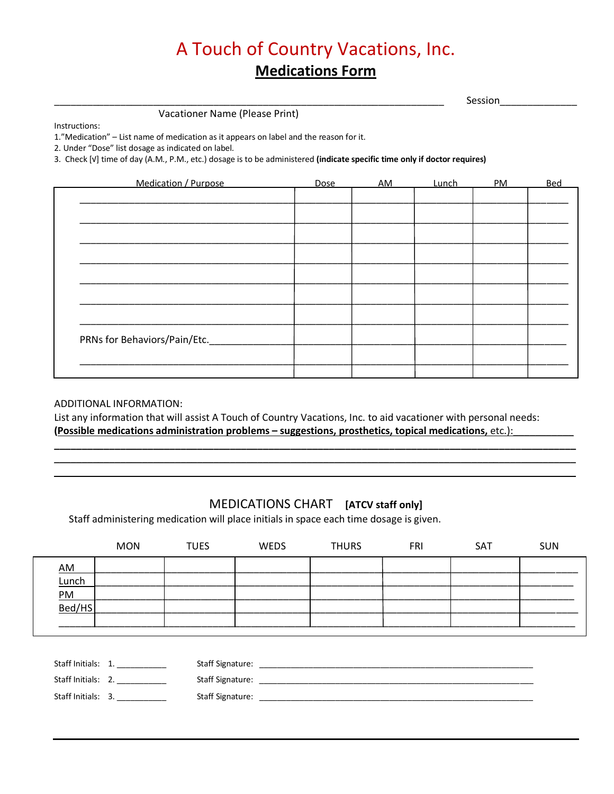# A Touch of Country Vacations, Inc. **Medications Form**

| Session |  |
|---------|--|
|         |  |

Vacationer Name (Please Print)

Instructions:

1."Medication" - List name of medication as it appears on label and the reason for it.

2. Under "Dose" list dosage as indicated on label.

3. Check [V] time of day (A.M., P.M., etc.) dosage is to be administered (indicate specific time only if doctor requires)

| Medication / Purpose         | <b>Dose</b> | AM | <b>Lunch</b> | PM | <b>Bed</b> |
|------------------------------|-------------|----|--------------|----|------------|
|                              |             |    |              |    |            |
|                              |             |    |              |    |            |
|                              |             |    |              |    |            |
|                              |             |    |              |    |            |
|                              |             |    |              |    |            |
|                              |             |    |              |    |            |
|                              |             |    |              |    |            |
|                              |             |    |              |    |            |
| PRNs for Behaviors/Pain/Etc. |             |    |              |    |            |
|                              |             |    |              |    |            |
|                              |             |    |              |    |            |

### ADDITIONAL INFORMATION:

List any information that will assist A Touch of Country Vacations, Inc. to aid vacationer with personal needs: (Possible medications administration problems - suggestions, prosthetics, topical medications, etc.):

### MEDICATIONS CHART [ATCV staff only]

Staff administering medication will place initials in space each time dosage is given.

|                             | <b>MON</b>                                                     | <b>TUES</b> | <b>WEDS</b> | <b>THURS</b> | <b>FRI</b> | <b>SAT</b> | <b>SUN</b> |
|-----------------------------|----------------------------------------------------------------|-------------|-------------|--------------|------------|------------|------------|
| AM<br>Lunch<br>PM<br>Bed/HS |                                                                |             |             |              |            |            |            |
|                             | Staff Initials: 1.<br>Staff Initials: 2.<br>Staff Initials: 3. |             |             |              |            |            |            |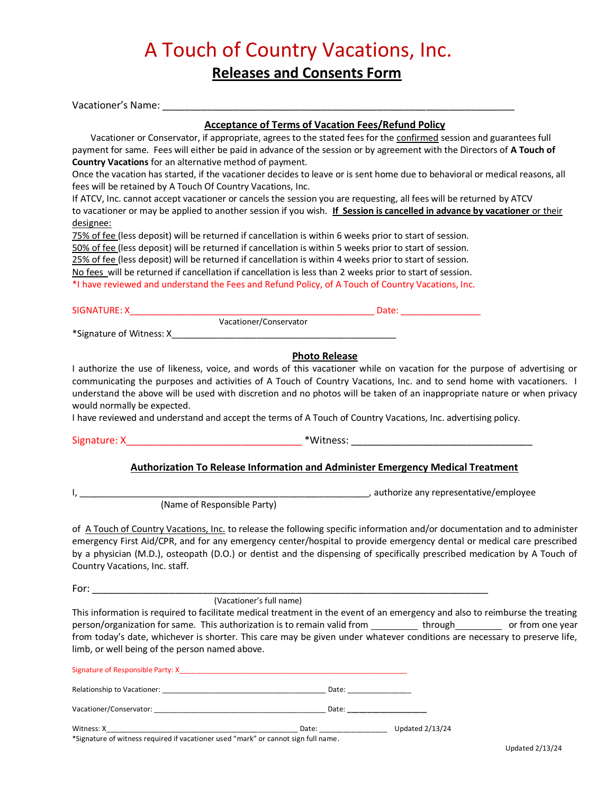## A Touch of Country Vacations, Inc. **Releases and Consents Form**

Vacationer's Name: **Acceptance of Terms of Vacation Fees/Refund Policy** Vacationer or Conservator, if appropriate, agrees to the stated fees for the confirmed session and guarantees full payment for same. Fees will either be paid in advance of the session or by agreement with the Directors of **A Touch of Country Vacations** for an alternative method of payment. Once the vacation has started, if the vacationer decides to leave or is sent home due to behavioral or medical reasons, all fees will be retained by A Touch Of Country Vacations, Inc. If ATCV, Inc. cannot accept vacationer or cancels the session you are requesting, all fees will be returned by ATCV to vacationer or may be applied to another session if you wish. **If Session is cancelled in advance by vacationer** or their designee: 75% of fee (less deposit) will be returned if cancellation is within 6 weeks prior to start of session. 50% of fee (less deposit) will be returned if cancellation is within 5 weeks prior to start of session. 25% of fee (less deposit) will be returned if cancellation is within 4 weeks prior to start of session. No fees will be returned if cancellation if cancellation is less than 2 weeks prior to start of session. \*I have reviewed and understand the Fees and Refund Policy, of A Touch of Country Vacations, Inc. SIGNATURE: X\_\_\_\_\_\_\_\_\_\_\_\_\_\_\_\_\_\_\_\_\_\_\_\_\_\_\_\_\_\_\_\_\_\_\_\_\_\_\_\_\_\_\_\_\_\_\_\_\_ Date: \_\_\_\_\_\_\_\_\_\_\_\_\_\_\_\_ Vacationer/Conservator \*Signature of Witness: X\_\_\_\_\_\_\_\_\_\_\_\_\_\_\_\_\_\_\_\_\_\_\_\_\_\_\_\_\_\_\_\_\_\_\_\_\_\_\_\_\_\_\_\_\_ **Photo Release** I authorize the use of likeness, voice, and words of this vacationer while on vacation for the purpose of advertising or communicating the purposes and activities of A Touch of Country Vacations, Inc. and to send home with vacationers. I understand the above will be used with discretion and no photos will be taken of an inappropriate nature or when privacy would normally be expected. I have reviewed and understand and accept the terms of A Touch of Country Vacations, Inc. advertising policy. Signature: X\_\_\_\_\_\_\_\_\_\_\_\_\_\_\_\_\_\_\_\_\_\_\_\_\_\_\_\_\_\_\_\_ \*Witness: \_\_\_\_\_\_\_\_\_\_\_\_\_\_\_\_\_\_\_\_\_\_\_\_\_\_\_\_\_\_\_\_\_

### **Authorization To Release Information and Administer Emergency Medical Treatment**

I, \_\_\_\_\_\_\_\_\_\_\_\_\_\_\_\_\_\_\_\_\_\_\_\_\_\_\_\_\_\_\_\_\_\_\_\_\_\_\_\_\_\_\_\_\_\_\_\_\_\_\_\_\_\_\_\_\_\_, authorize any representative/employee

(Name of Responsible Party)

of A Touch of Country Vacations, Inc. to release the following specific information and/or documentation and to administer emergency First Aid/CPR, and for any emergency center/hospital to provide emergency dental or medical care prescribed by a physician (M.D.), osteopath (D.O.) or dentist and the dispensing of specifically prescribed medication by A Touch of Country Vacations, Inc. staff.

(Vacationer's full name)

This information is required to facilitate medical treatment in the event of an emergency and also to reimburse the treating person/organization for same. This authorization is to remain valid from the substandance of from one year from today's date, whichever is shorter. This care may be given under whatever conditions are necessary to preserve life, limb, or well being of the person named above.

|                                                                                                                                                                                                                                                                                                                                                | Date: ____________ |                      |  |  |
|------------------------------------------------------------------------------------------------------------------------------------------------------------------------------------------------------------------------------------------------------------------------------------------------------------------------------------------------|--------------------|----------------------|--|--|
|                                                                                                                                                                                                                                                                                                                                                |                    | Date: ______________ |  |  |
| <b>Updated 2/13/24</b><br>Date: the contract of the contract of the contract of the contract of the contract of the contract of the contract of the contract of the contract of the contract of the contract of the contract of the contract of the cont<br>*Signature of witness required if vacationer used "mark" or cannot sign full name. |                    |                      |  |  |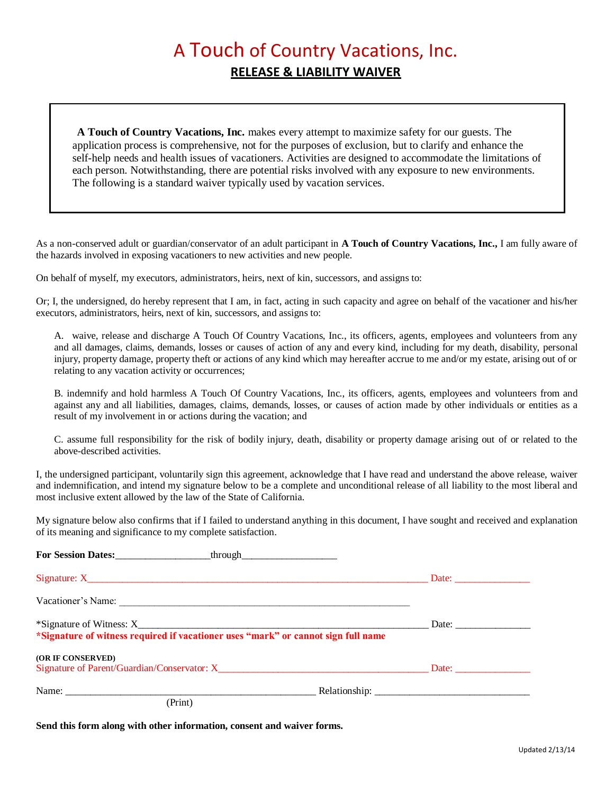## A Touch of Country Vacations, Inc. **RELEASE & LIABILITY WAIVER**

**A Touch of Country Vacations, Inc.** makes every attempt to maximize safety for our guests. The application process is comprehensive, not for the purposes of exclusion, but to clarify and enhance the self-help needs and health issues of vacationers. Activities are designed to accommodate the limitations of each person. Notwithstanding, there are potential risks involved with any exposure to new environments. The following is a standard waiver typically used by vacation services.

As a non-conserved adult or guardian/conservator of an adult participant in **A Touch of Country Vacations, Inc.,** I am fully aware of the hazards involved in exposing vacationers to new activities and new people.

On behalf of myself, my executors, administrators, heirs, next of kin, successors, and assigns to:

Or; I, the undersigned, do hereby represent that I am, in fact, acting in such capacity and agree on behalf of the vacationer and his/her executors, administrators, heirs, next of kin, successors, and assigns to:

A. waive, release and discharge A Touch Of Country Vacations, Inc., its officers, agents, employees and volunteers from any and all damages, claims, demands, losses or causes of action of any and every kind, including for my death, disability, personal injury, property damage, property theft or actions of any kind which may hereafter accrue to me and/or my estate, arising out of or relating to any vacation activity or occurrences;

B. indemnify and hold harmless A Touch Of Country Vacations, Inc., its officers, agents, employees and volunteers from and against any and all liabilities, damages, claims, demands, losses, or causes of action made by other individuals or entities as a result of my involvement in or actions during the vacation; and

C. assume full responsibility for the risk of bodily injury, death, disability or property damage arising out of or related to the above-described activities.

I, the undersigned participant, voluntarily sign this agreement, acknowledge that I have read and understand the above release, waiver and indemnification, and intend my signature below to be a complete and unconditional release of all liability to the most liberal and most inclusive extent allowed by the law of the State of California.

My signature below also confirms that if I failed to understand anything in this document, I have sought and received and explanation of its meaning and significance to my complete satisfaction.

| Vacationer's Name:                                                                |  |
|-----------------------------------------------------------------------------------|--|
| *Signature of witness required if vacationer uses "mark" or cannot sign full name |  |
|                                                                                   |  |
| <b>(OR IF CONSERVED)</b>                                                          |  |
|                                                                                   |  |
| (Print)                                                                           |  |

**Send this form along with other information, consent and waiver forms.**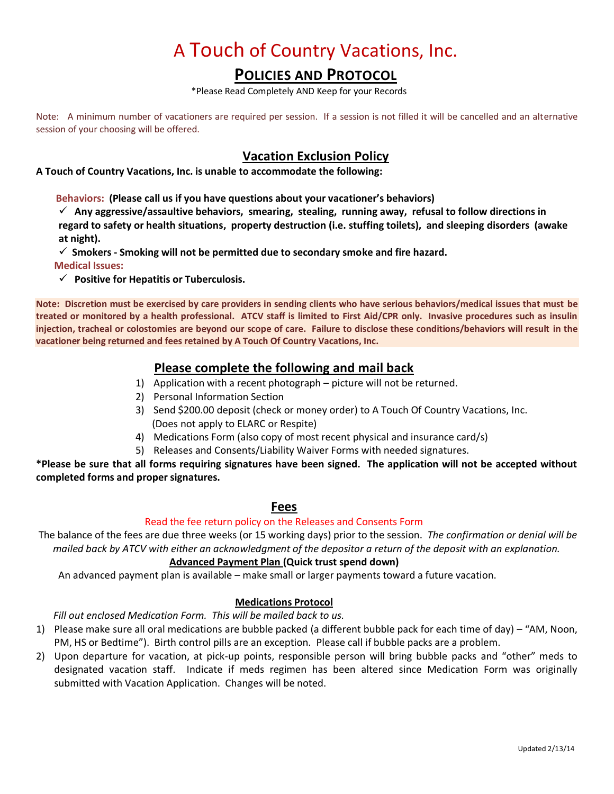### **POLICIES AND PROTOCOL**

\*Please Read Completely AND Keep for your Records

Note: A minimum number of vacationers are required per session. If a session is not filled it will be cancelled and an alternative session of your choosing will be offered.

### **Vacation Exclusion Policy**

**A Touch of Country Vacations, Inc. is unable to accommodate the following:**

 **Behaviors: (Please call us if you have questions about your vacationer's behaviors)**

 **Any aggressive/assaultive behaviors, smearing, stealing, running away, refusal to follow directions in regard to safety or health situations, property destruction (i.e. stuffing toilets), and sleeping disorders (awake at night).** 

**Smokers - Smoking will not be permitted due to secondary smoke and fire hazard.**

**Medical Issues:**

**Positive for Hepatitis or Tuberculosis.**

**Note: Discretion must be exercised by care providers in sending clients who have serious behaviors/medical issues that must be treated or monitored by a health professional. ATCV staff is limited to First Aid/CPR only. Invasive procedures such as insulin injection, tracheal or colostomies are beyond our scope of care. Failure to disclose these conditions/behaviors will result in the vacationer being returned and fees retained by A Touch Of Country Vacations, Inc.**

### **Please complete the following and mail back**

- 1) Application with a recent photograph picture will not be returned.
- 2) Personal Information Section
- 3) Send \$200.00 deposit (check or money order) to A Touch Of Country Vacations, Inc. (Does not apply to ELARC or Respite)
- 4) Medications Form (also copy of most recent physical and insurance card/s)
- 5) Releases and Consents/Liability Waiver Forms with needed signatures.

**\*Please be sure that all forms requiring signatures have been signed. The application will not be accepted without completed forms and proper signatures.**

### **Fees**

#### Read the fee return policy on the Releases and Consents Form

The balance of the fees are due three weeks (or 15 working days) prior to the session. *The confirmation or denial will be mailed back by ATCV with either an acknowledgment of the depositor a return of the deposit with an explanation.*

### **Advanced Payment Plan (Quick trust spend down)**

An advanced payment plan is available – make small or larger payments toward a future vacation.

### **Medications Protocol**

 *Fill out enclosed Medication Form. This will be mailed back to us.*

- 1) Please make sure all oral medications are bubble packed (a different bubble pack for each time of day) "AM, Noon, PM, HS or Bedtime"). Birth control pills are an exception. Please call if bubble packs are a problem.
- 2) Upon departure for vacation, at pick-up points, responsible person will bring bubble packs and "other" meds to designated vacation staff. Indicate if meds regimen has been altered since Medication Form was originally submitted with Vacation Application. Changes will be noted.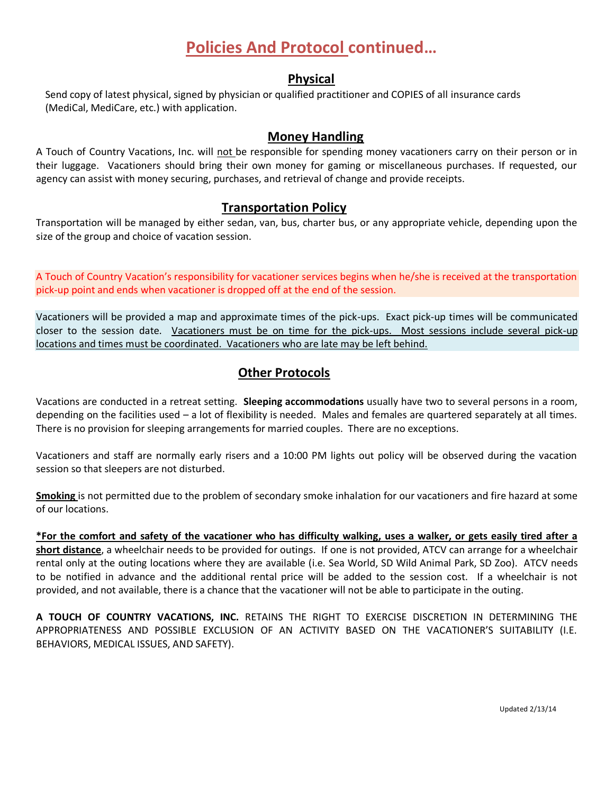### **Policies And Protocol continued…**

### **Physical**

Send copy of latest physical, signed by physician or qualified practitioner and COPIES of all insurance cards (MediCal, MediCare, etc.) with application.

### **Money Handling**

A Touch of Country Vacations, Inc. will not be responsible for spending money vacationers carry on their person or in their luggage. Vacationers should bring their own money for gaming or miscellaneous purchases. If requested, our agency can assist with money securing, purchases, and retrieval of change and provide receipts.

### **Transportation Policy**

Transportation will be managed by either sedan, van, bus, charter bus, or any appropriate vehicle, depending upon the size of the group and choice of vacation session.

A Touch of Country Vacation's responsibility for vacationer services begins when he/she is received at the transportation pick-up point and ends when vacationer is dropped off at the end of the session.

Vacationers will be provided a map and approximate times of the pick-ups. Exact pick-up times will be communicated closer to the session date. Vacationers must be on time for the pick-ups. Most sessions include several pick-up locations and times must be coordinated. Vacationers who are late may be left behind.

### **Other Protocols**

Vacations are conducted in a retreat setting. **Sleeping accommodations** usually have two to several persons in a room, depending on the facilities used – a lot of flexibility is needed. Males and females are quartered separately at all times. There is no provision for sleeping arrangements for married couples. There are no exceptions.

Vacationers and staff are normally early risers and a 10:00 PM lights out policy will be observed during the vacation session so that sleepers are not disturbed.

**Smoking** is not permitted due to the problem of secondary smoke inhalation for our vacationers and fire hazard at some of our locations.

**\*For the comfort and safety of the vacationer who has difficulty walking, uses a walker, or gets easily tired after a short distance**, a wheelchair needs to be provided for outings. If one is not provided, ATCV can arrange for a wheelchair rental only at the outing locations where they are available (i.e. Sea World, SD Wild Animal Park, SD Zoo). ATCV needs to be notified in advance and the additional rental price will be added to the session cost. If a wheelchair is not provided, and not available, there is a chance that the vacationer will not be able to participate in the outing.

**A TOUCH OF COUNTRY VACATIONS, INC.** RETAINS THE RIGHT TO EXERCISE DISCRETION IN DETERMINING THE APPROPRIATENESS AND POSSIBLE EXCLUSION OF AN ACTIVITY BASED ON THE VACATIONER'S SUITABILITY (I.E. BEHAVIORS, MEDICAL ISSUES, AND SAFETY).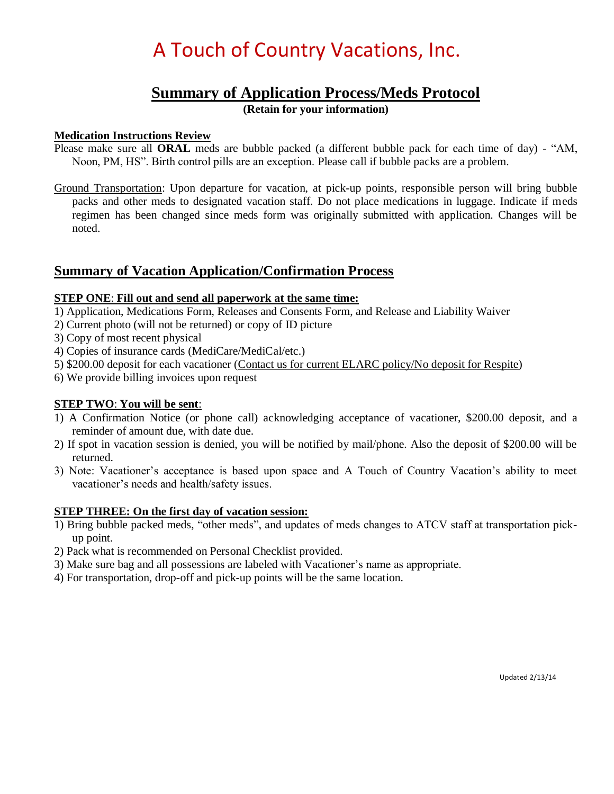### **Summary of Application Process/Meds Protocol**

**(Retain for your information)**

### **Medication Instructions Review**

- Please make sure all **ORAL** meds are bubble packed (a different bubble pack for each time of day) "AM, Noon, PM, HS". Birth control pills are an exception. Please call if bubble packs are a problem.
- Ground Transportation: Upon departure for vacation, at pick-up points, responsible person will bring bubble packs and other meds to designated vacation staff. Do not place medications in luggage. Indicate if meds regimen has been changed since meds form was originally submitted with application. Changes will be noted.

### **Summary of Vacation Application/Confirmation Process**

### **STEP ONE**: **Fill out and send all paperwork at the same time:**

- 1) Application, Medications Form, Releases and Consents Form, and Release and Liability Waiver
- 2) Current photo (will not be returned) or copy of ID picture
- 3) Copy of most recent physical
- 4) Copies of insurance cards (MediCare/MediCal/etc.)
- 5) \$200.00 deposit for each vacationer (Contact us for current ELARC policy/No deposit for Respite)
- 6) We provide billing invoices upon request

### **STEP TWO**: **You will be sent**:

- 1) A Confirmation Notice (or phone call) acknowledging acceptance of vacationer, \$200.00 deposit, and a reminder of amount due, with date due.
- 2) If spot in vacation session is denied, you will be notified by mail/phone. Also the deposit of \$200.00 will be returned.
- 3) Note: Vacationer's acceptance is based upon space and A Touch of Country Vacation's ability to meet vacationer's needs and health/safety issues.

### **STEP THREE: On the first day of vacation session:**

- 1) Bring bubble packed meds, "other meds", and updates of meds changes to ATCV staff at transportation pickup point.
- 2) Pack what is recommended on Personal Checklist provided.
- 3) Make sure bag and all possessions are labeled with Vacationer's name as appropriate.
- 4) For transportation, drop-off and pick-up points will be the same location.